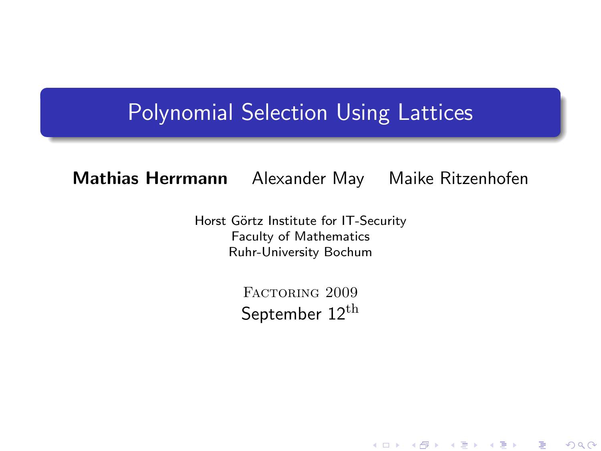### Polynomial Selection Using Lattices

#### Mathias Herrmann Alexander May Maike Ritzenhofen

Horst Görtz Institute for IT-Security Faculty of Mathematics Ruhr-University Bochum

> <span id="page-0-0"></span>FACTORING 2009 September 12<sup>th</sup>

> > ★ ロメ (4 御) > (唐) > (唐) → [唐]

 $299$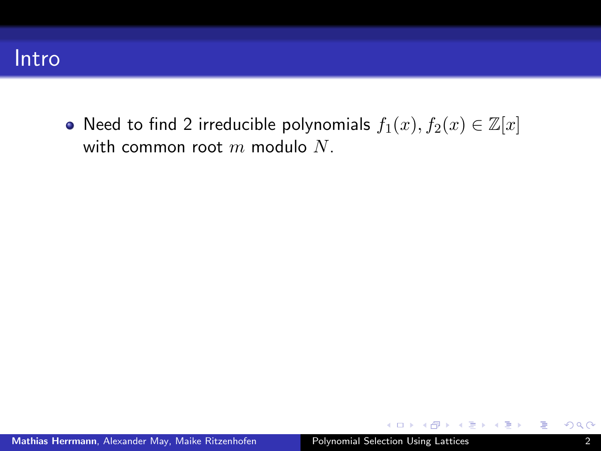### Intro

• Need to find 2 irreducible polynomials  $f_1(x), f_2(x) \in \mathbb{Z}[x]$ with common root  $m$  modulo  $N$ .

イロン 不優 と 不重 と 不重 とう

活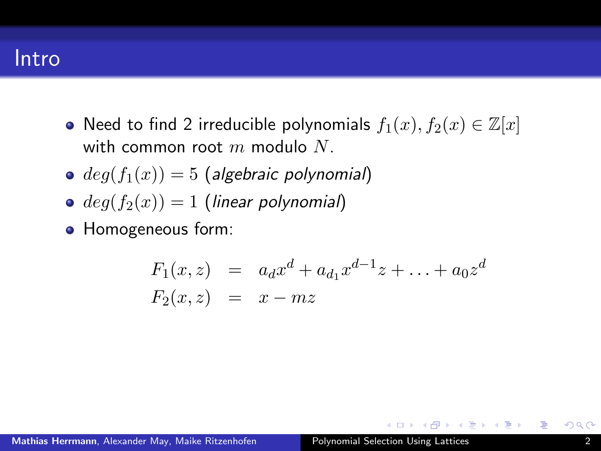### Intro

- Need to find 2 irreducible polynomials  $f_1(x)$ ,  $f_2(x) \in \mathbb{Z}[x]$ with common root  $m$  modulo  $N$ .
- $\bullet$  deg( $f_1(x)$ ) = 5 (algebraic polynomial)
- $\bullet$  deg( $f_2(x)$ ) = 1 (linear polynomial)
- Homogeneous form:

$$
F_1(x, z) = a_d x^d + a_{d_1} x^{d-1} z + \dots + a_0 z^d
$$
  

$$
F_2(x, z) = x - mz
$$

 $(0.12 \times 10^{-14})$   $(0.12 \times 10^{-14})$ 

∍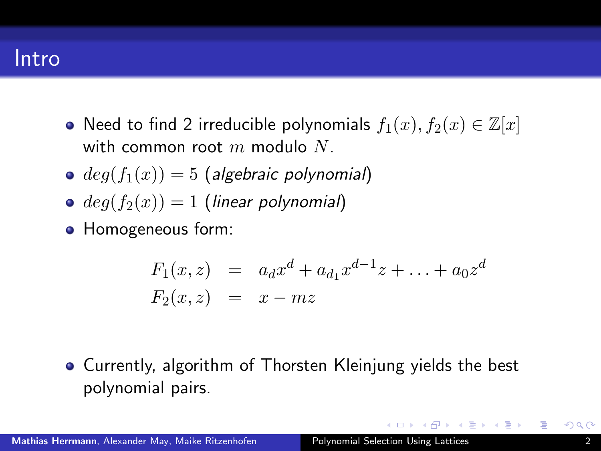### Intro

- Need to find 2 irreducible polynomials  $f_1(x)$ ,  $f_2(x) \in \mathbb{Z}[x]$ with common root  $m$  modulo  $N$ .
- $\bullet$  deg( $f_1(x)$ ) = 5 (algebraic polynomial)
- $\bullet$  deg( $f_2(x)$ ) = 1 (linear polynomial)
- Homogeneous form:

$$
F_1(x, z) = a_d x^d + a_{d_1} x^{d-1} z + \dots + a_0 z^d
$$
  

$$
F_2(x, z) = x - mz
$$

Currently, algorithm of Thorsten Kleinjung yields the best polynomial pairs.

 $(0.12 \times 10^{-14})$   $(0.12 \times 10^{-14})$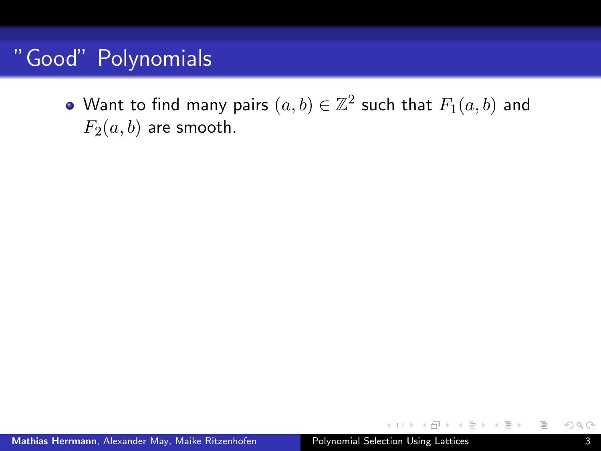Want to find many pairs  $(a,b)\in\mathbb{Z}^2$  such that  $F_1(a,b)$  and  $F_2(a, b)$  are smooth.

 $(0.12 \times 10^{-14})$   $(0.12 \times 10^{-14})$ 

∍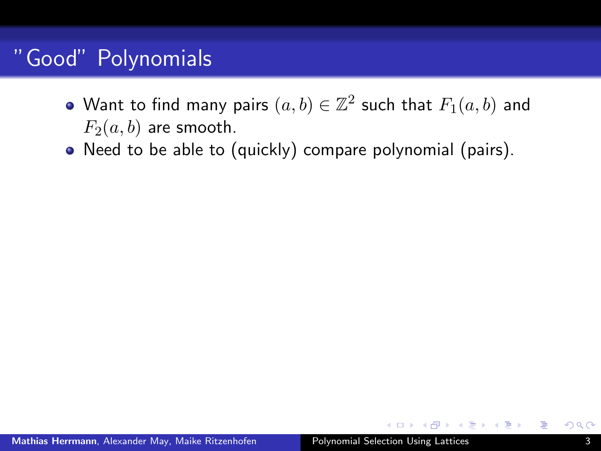- Want to find many pairs  $(a,b)\in\mathbb{Z}^2$  such that  $F_1(a,b)$  and  $F_2(a, b)$  are smooth.
- Need to be able to (quickly) compare polynomial (pairs).

**A BAKABA**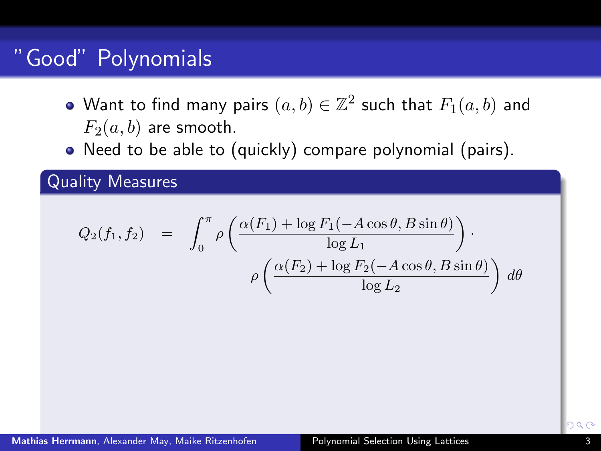- Want to find many pairs  $(a,b)\in\mathbb{Z}^2$  such that  $F_1(a,b)$  and  $F_2(a, b)$  are smooth.
- Need to be able to (quickly) compare polynomial (pairs).

Quality Measures

$$
Q_2(f_1, f_2) = \int_0^{\pi} \rho \left( \frac{\alpha(F_1) + \log F_1(-A \cos \theta, B \sin \theta)}{\log L_1} \right) \cdot \rho \left( \frac{\alpha(F_2) + \log F_2(-A \cos \theta, B \sin \theta)}{\log L_2} \right) d\theta
$$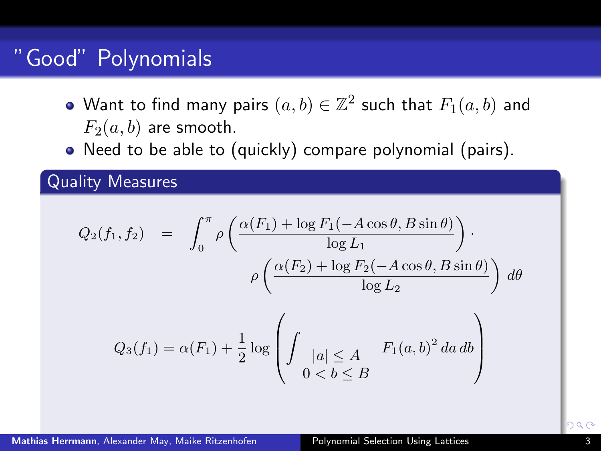- Want to find many pairs  $(a,b)\in\mathbb{Z}^2$  such that  $F_1(a,b)$  and  $F_2(a, b)$  are smooth.
- Need to be able to (quickly) compare polynomial (pairs).

Quality Measures

$$
Q_2(f_1, f_2) = \int_0^{\pi} \rho \left( \frac{\alpha(F_1) + \log F_1(-A \cos \theta, B \sin \theta)}{\log L_1} \right) \cdot \rho \left( \frac{\alpha(F_2) + \log F_2(-A \cos \theta, B \sin \theta)}{\log L_2} \right) d\theta
$$

$$
Q_3(f_1) = \alpha(F_1) + \frac{1}{2} \log \left( \int_{\begin{array}{c} |a| \le A \\ 0 < b \le B \end{array}} F_1(a, b)^2 da \, db \right)
$$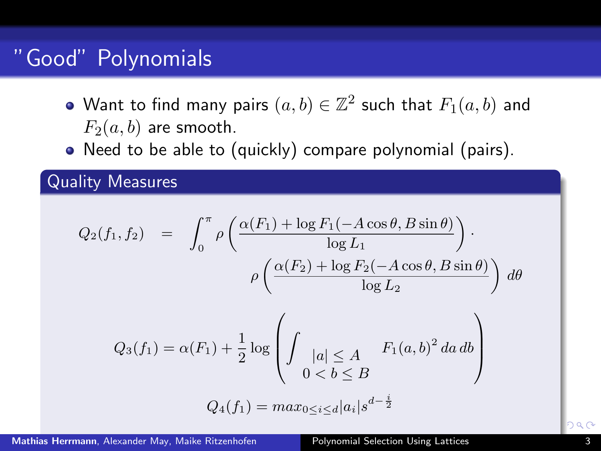- Want to find many pairs  $(a,b)\in\mathbb{Z}^2$  such that  $F_1(a,b)$  and  $F_2(a, b)$  are smooth.
- Need to be able to (quickly) compare polynomial (pairs).

Quality Measures

$$
Q_2(f_1, f_2) = \int_0^{\pi} \rho \left( \frac{\alpha(F_1) + \log F_1(-A \cos \theta, B \sin \theta)}{\log L_1} \right) \cdot \rho \left( \frac{\alpha(F_2) + \log F_2(-A \cos \theta, B \sin \theta)}{\log L_2} \right) d\theta
$$

$$
Q_3(f_1) = \alpha(F_1) + \frac{1}{2} \log \left( \int_{\substack{|a| \le A \\ 0 < b \le B}} F_1(a, b)^2 da \, db \right)
$$

$$
Q_4(f_1) = \max_{0 \le i \le d} |a_i| s^{d - \frac{i}{2}}
$$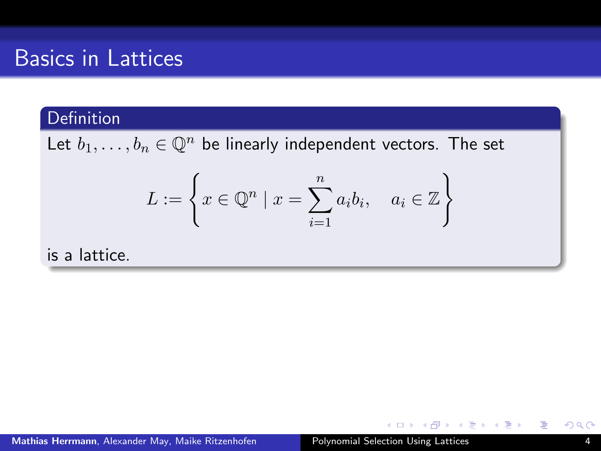# Basics in Lattices

#### Definition

Let  $b_1, \ldots, b_n \in \mathbb{Q}^n$  be linearly independent vectors. The set

$$
L := \left\{ x \in \mathbb{Q}^n \mid x = \sum_{i=1}^n a_i b_i, \quad a_i \in \mathbb{Z} \right\}
$$

is a lattice.

イロメ イ部メ イヨメ イヨメー

重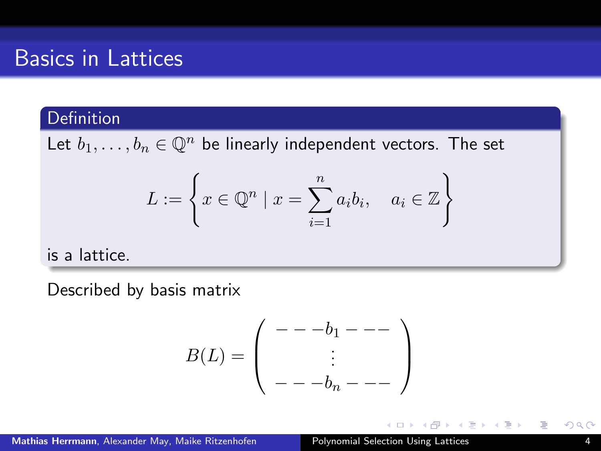## Basics in Lattices

#### Definition

Let  $b_1, \ldots, b_n \in \mathbb{Q}^n$  be linearly independent vectors. The set

$$
L := \left\{ x \in \mathbb{Q}^n \mid x = \sum_{i=1}^n a_i b_i, \quad a_i \in \mathbb{Z} \right\}
$$

is a lattice.

Described by basis matrix

$$
B(L) = \left(\begin{array}{c}---b_1---\\ \vdots\\---b_n---\end{array}\right)
$$

イロメ イ部メ イヨメ イヨメー

活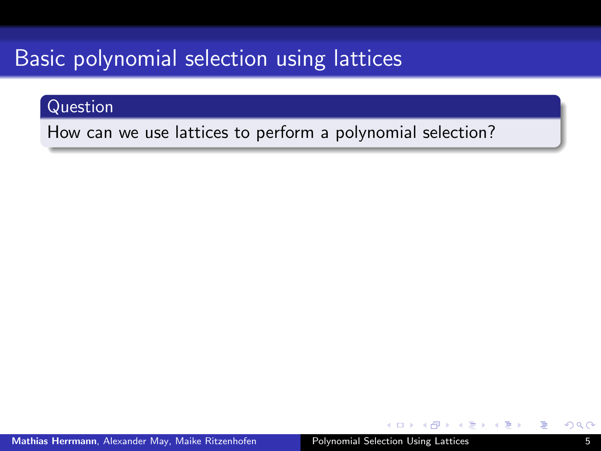#### Question

How can we use lattices to perform a polynomial selection?

メ都 トメミトメミト

活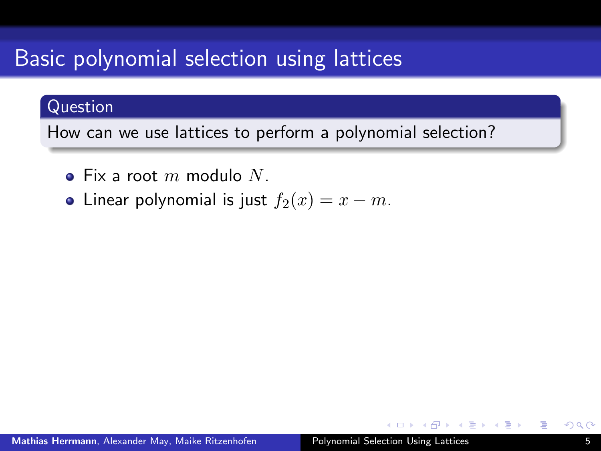#### Question

How can we use lattices to perform a polynomial selection?

- $\bullet$  Fix a root m modulo N.
- Linear polynomial is just  $f_2(x) = x m$ .

 $\mathcal{A}$  and  $\mathcal{A}$  is a set of  $\mathbb{R}$  is a set of  $\mathbb{R}$  is a set of  $\mathbb{R}$  is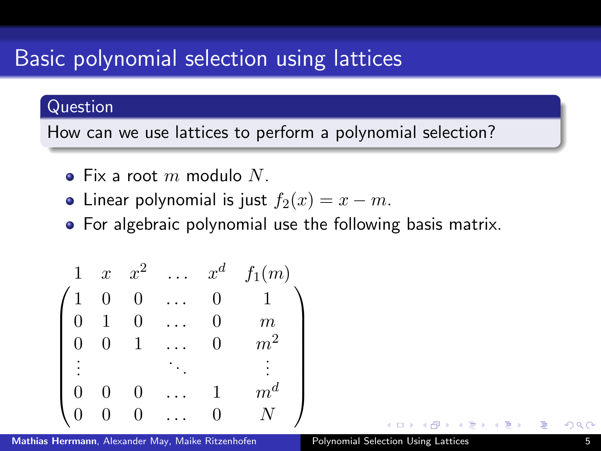#### Question

How can we use lattices to perform a polynomial selection?

- $\bullet$  Fix a root m modulo N.
- Linear polynomial is just  $f_2(x) = x m$ .
- **•** For algebraic polynomial use the following basis matrix.

$$
\begin{pmatrix} 1&x&x^2&\ldots&x^d&f_1(m)\\ 1&0&0&\ldots&0&1\\ 0&1&0&\ldots&0&m\\ 0&0&1&\ldots&0&m^2\\ \vdots&&\ddots&&&\vdots\\ 0&0&0&\ldots&1&m^d\\ 0&0&0&\ldots&0&N \end{pmatrix}
$$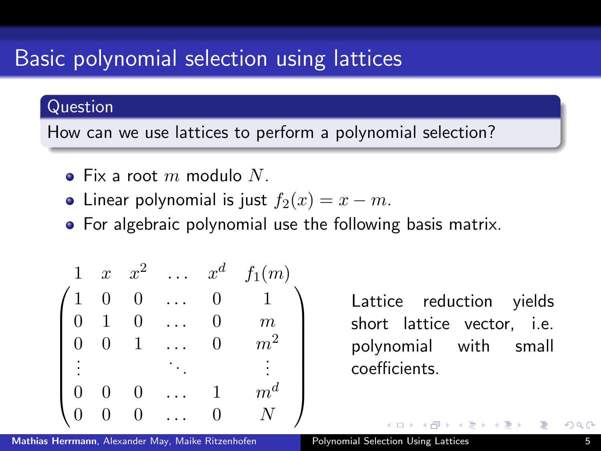#### Question

How can we use lattices to perform a polynomial selection?

- $\bullet$  Fix a root m modulo N.
- Linear polynomial is just  $f_2(x) = x m$ .
- **•** For algebraic polynomial use the following basis matrix.

$$
\begin{pmatrix} 1&x&x^2&\ldots&x^d&f_1(m)\\ 1&0&0&\ldots&0&1\\ 0&1&0&\ldots&0&m\\ 0&0&1&\ldots&0&m^2\\ \vdots&&\ddots&&&\vdots\\ 0&0&0&\ldots&1&m^d\\ 0&0&0&\ldots&0&N \end{pmatrix}
$$

Lattice reduction yields short lattice vector, i.e. polynomial with small coefficients.

Mathias Herrmann, Alexander May, Maike Ritzenhofen [Polynomial Selection Using Lattices](#page-0-0)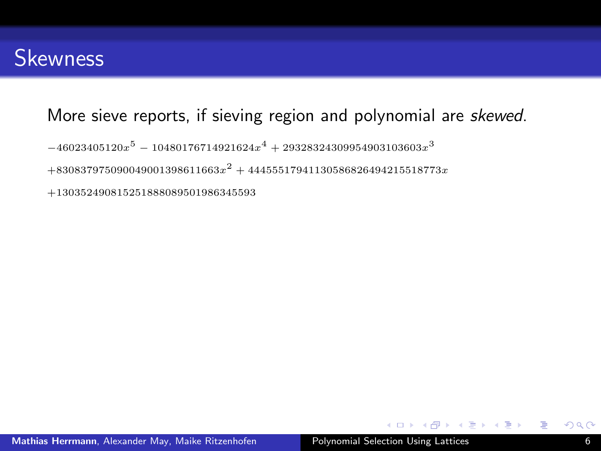## **Skewness**

#### More sieve reports, if sieving region and polynomial are skewed.

 $-46023405120x^5 - 10480176714921624x^4 + 29328324309954903103603x^3$ 

 $+830837975090049001398611663x^2 + 44455517941130586826494215518773x$ 

+130352490815251888089501986345593

イロン 不優 と 不重 と 不重 とう

重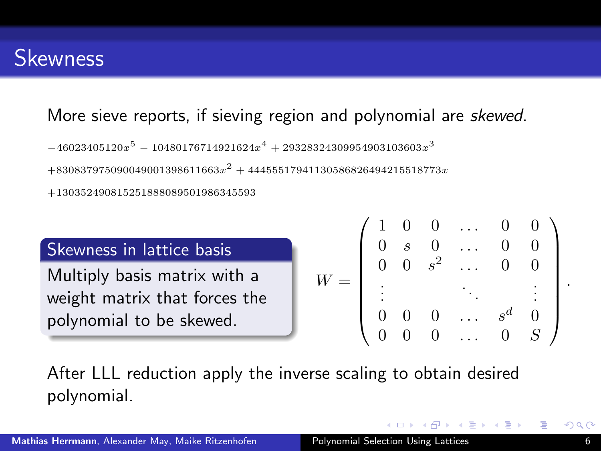## **Skewness**

#### More sieve reports, if sieving region and polynomial are *skewed*.

 $-46023405120x^5 - 10480176714921624x^4 + 29328324309954903103603x^3$ 

 $+830837975090049001398611663x^2 + 44455517941130586826494215518773x$ 

+130352490815251888089501986345593

Skewness in lattice basis

Multiply basis matrix with a weight matrix that forces the polynomial to be skewed.

$$
W = \left(\begin{array}{cccccc} 1 & 0 & 0 & \dots & 0 & 0 \\ 0 & s & 0 & \dots & 0 & 0 \\ 0 & 0 & s^2 & \dots & 0 & 0 \\ \vdots & & & \ddots & & \vdots \\ 0 & 0 & 0 & \dots & s^d & 0 \\ 0 & 0 & 0 & \dots & 0 & S \end{array}\right)
$$

 $\mathcal{A} \oplus \mathcal{B}$  and  $\mathcal{A} \oplus \mathcal{B}$  and  $\mathcal{B} \oplus \mathcal{B}$ 

After LLL reduction apply the inverse scaling to obtain desired polynomial.

.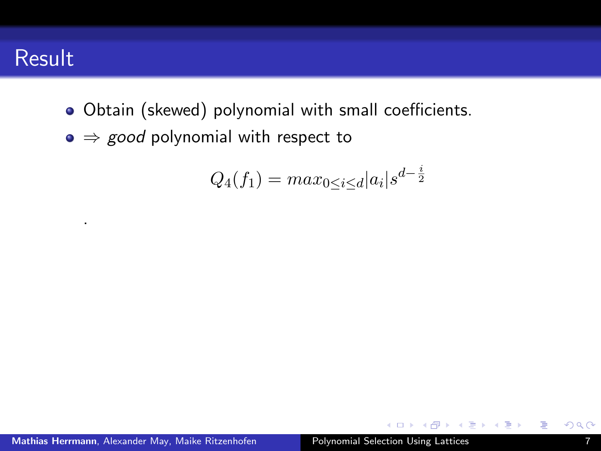## **Result**

.

- Obtain (skewed) polynomial with small coefficients.
- $\bullet \Rightarrow \text{good polynomial with respect to}$

$$
Q_4(f_1) = \max_{0 \le i \le d} |a_i| s^{d - \frac{i}{2}}
$$

 $A \oplus A \times A \oplus A \times A \oplus A$ 

活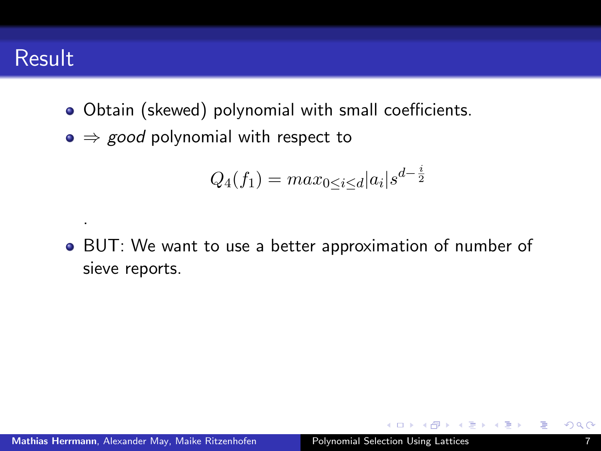## **Result**

.

- Obtain (skewed) polynomial with small coefficients.
- $\bullet \Rightarrow$  good polynomial with respect to

$$
Q_4(f_1) = \max_{0 \le i \le d} |a_i| s^{d - \frac{i}{2}}
$$

BUT: We want to use a better approximation of number of sieve reports.

**A BAKABA**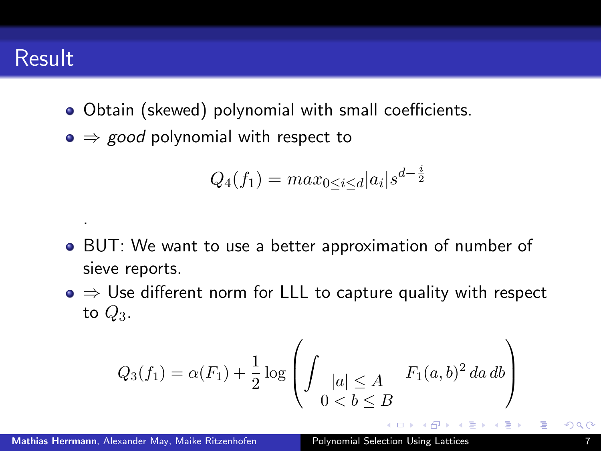## **Result**

.

- Obtain (skewed) polynomial with small coefficients.
- $\bullet \Rightarrow$  good polynomial with respect to

$$
Q_4(f_1) = \max_{0 \le i \le d} |a_i| s^{d - \frac{i}{2}}
$$

- BUT: We want to use a better approximation of number of sieve reports.
- $\bullet \Rightarrow$  Use different norm for LLL to capture quality with respect to  $Q_3$ .

$$
Q_3(f_1) = \alpha(F_1) + \frac{1}{2} \log \left( \int_{\begin{array}{c} |a| \le A \\ 0 < b \le B \end{array}} F_1(a, b)^2 \, da \, db \right)
$$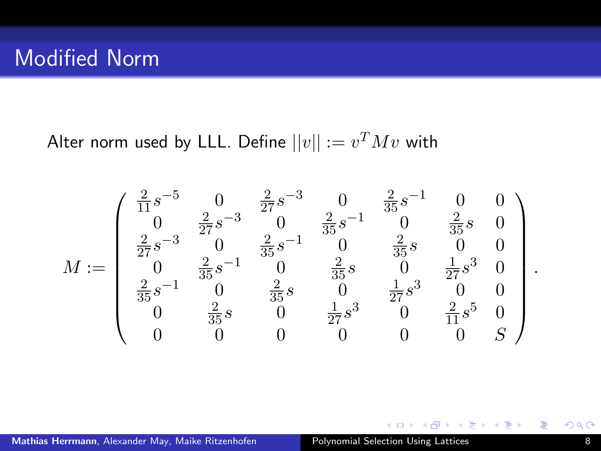Alter norm used by LLL. Define  $\vert\vert v\vert\vert:=v^TMv$  with

$$
M := \begin{pmatrix} \frac{2}{11}s^{-5} & 0 & \frac{2}{27}s^{-3} & 0 & \frac{2}{35}s^{-1} & 0 & 0\\ 0 & \frac{2}{27}s^{-3} & 0 & \frac{2}{35}s^{-1} & 0 & \frac{2}{35}s & 0\\ \frac{2}{27}s^{-3} & 0 & \frac{2}{35}s^{-1} & 0 & \frac{2}{35}s & 0 & 0\\ 0 & \frac{2}{35}s^{-1} & 0 & \frac{2}{35}s & 0 & \frac{1}{27}s^{3} & 0\\ \frac{2}{35}s^{-1} & 0 & \frac{2}{35}s & 0 & \frac{1}{27}s^{3} & 0 & 0\\ 0 & \frac{2}{35}s & 0 & \frac{1}{27}s^{3} & 0 & \frac{2}{11}s^{5} & 0\\ 0 & 0 & 0 & 0 & 0 & 0 & S \end{pmatrix}
$$

イロト イ部 トイヨ トイヨト

.

活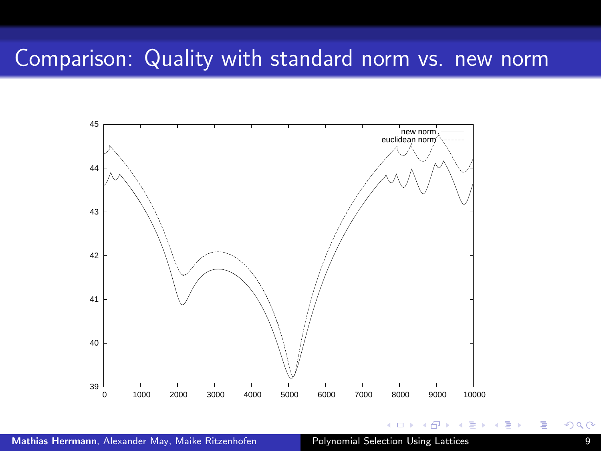## Comparison: Quality with standard norm vs. new norm



重  $\sim$ 一( 話 )

×

E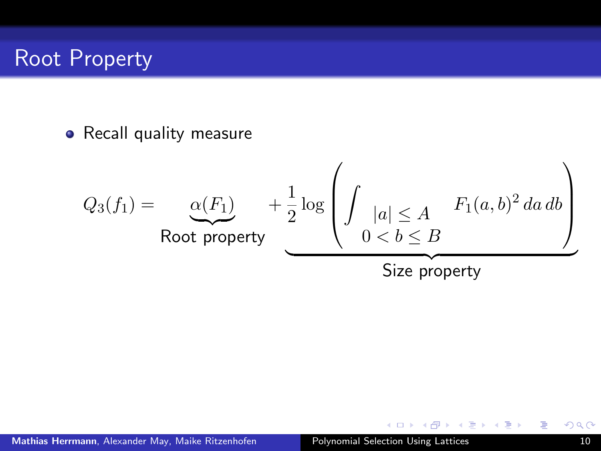## Root Property

• Recall quality measure

$$
Q_3(f_1) = \underbrace{\alpha(F_1)}_{\text{Root property}} + \underbrace{\frac{1}{2} \log \left( \int_{0} |a| \leq A \cdot F_1(a, b)^2 \, da \, db \right)}_{\text{Size property}}
$$

イロト イ部 トイヨ トイヨト

重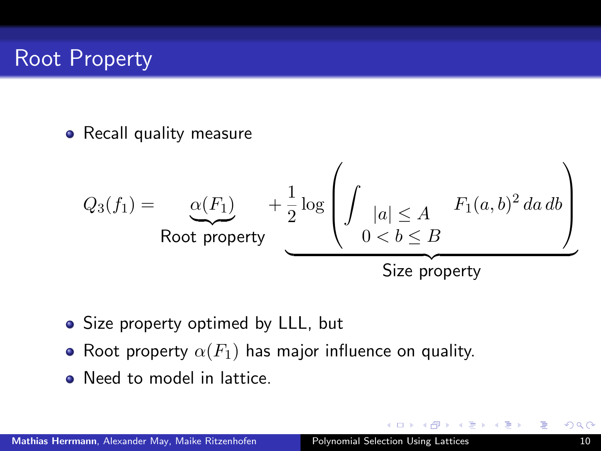# Root Property

• Recall quality measure

$$
Q_3(f_1) = \underbrace{\alpha(F_1)}_{\text{Root property}} + \underbrace{\frac{1}{2} \log \left( \int_{\begin{array}{l} |a| \le A \\ 0 < b \le B \end{array}} F_1(a, b)^2 \, da \, db \right)}_{\text{Size property}}
$$

- Size property optimed by LLL, but
- Root property  $\alpha(F_1)$  has major influence on quality.
- Need to model in lattice.

 $\mathcal{A}$   $\overline{\mathcal{B}}$   $\rightarrow$   $\mathcal{A}$   $\overline{\mathcal{B}}$   $\rightarrow$   $\mathcal{A}$   $\overline{\mathcal{B}}$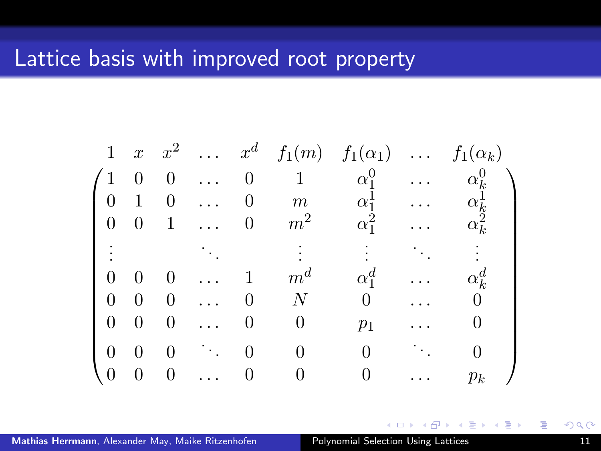| $\mathbf 1$      |          |          |                  |       | $x \quad x^2 \quad \dots \quad x^d \quad f_1(m) \quad f_1(\alpha_1) \quad \dots \quad f_1(\alpha_k)$ |           |                         |
|------------------|----------|----------|------------------|-------|------------------------------------------------------------------------------------------------------|-----------|-------------------------|
|                  | 0        | $\theta$ | $\boldsymbol{0}$ |       | $\alpha_1^0$                                                                                         |           | $\alpha_k^{\mathsf{U}}$ |
| $\theta$         | 1        | $\theta$ | 0                | $\,m$ | $\alpha_1^1$                                                                                         |           | $\alpha_k^{\mathbf{I}}$ |
| $\boldsymbol{0}$ |          | 1        | 0                | $m^2$ | $\alpha_1^2$                                                                                         | $\ddotsc$ | $\alpha_k^2$            |
|                  |          |          |                  |       |                                                                                                      |           |                         |
| 0                |          | 0        |                  | $m^d$ | $\alpha_1^d$                                                                                         |           | $\alpha_k^d$            |
| $\Omega$         | $\Omega$ | $\Omega$ |                  | $\,N$ |                                                                                                      |           |                         |
| $\theta$         | $\cup$   | U        | U                |       | $\scriptstyle{p_1}$                                                                                  |           |                         |
| $\Omega$         | 0        |          |                  |       |                                                                                                      |           |                         |
| $\theta$         |          |          |                  |       |                                                                                                      |           | $p_{\bm{k}}$            |

 $\mathbf{p}$ 一( 話 )

 $\sim$ э É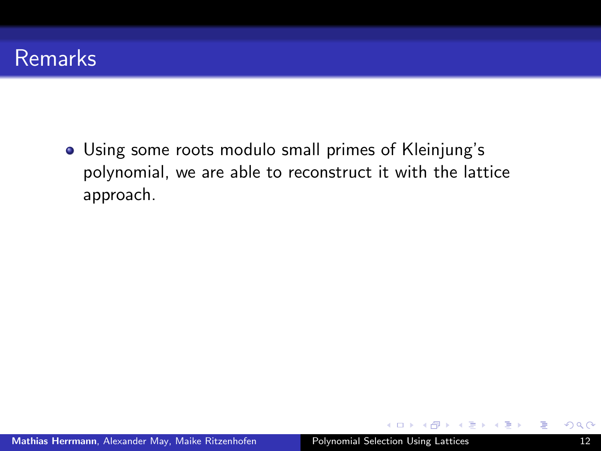Using some roots modulo small primes of Kleinjung's polynomial, we are able to reconstruct it with the lattice approach.

 $A \oplus A \times A \oplus A \times A \oplus A$ 

∍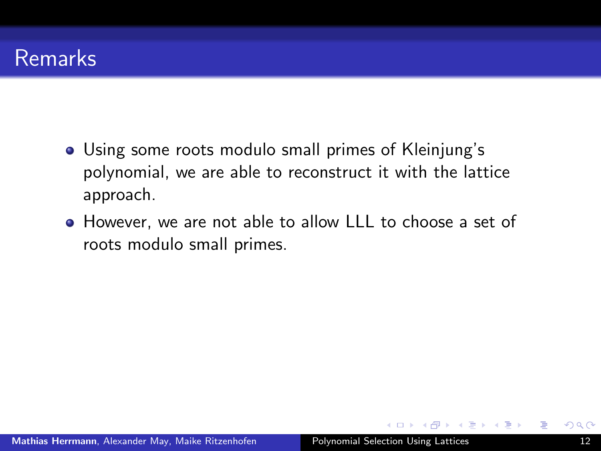- Using some roots modulo small primes of Kleinjung's polynomial, we are able to reconstruct it with the lattice approach.
- However, we are not able to allow LLL to choose a set of roots modulo small primes.

 $\mathcal{A}$  and  $\mathcal{A}$  is a set  $\mathcal{B}$  in a set  $\mathcal{B}$  is a set of  $\mathcal{B}$  in a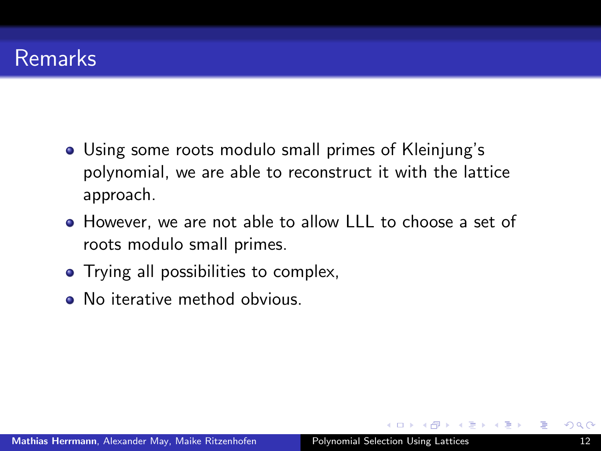- Using some roots modulo small primes of Kleinjung's polynomial, we are able to reconstruct it with the lattice approach.
- However, we are not able to allow LLL to choose a set of roots modulo small primes.
- Trying all possibilities to complex,
- **O** No iterative method obvious

**ALCOHOL:**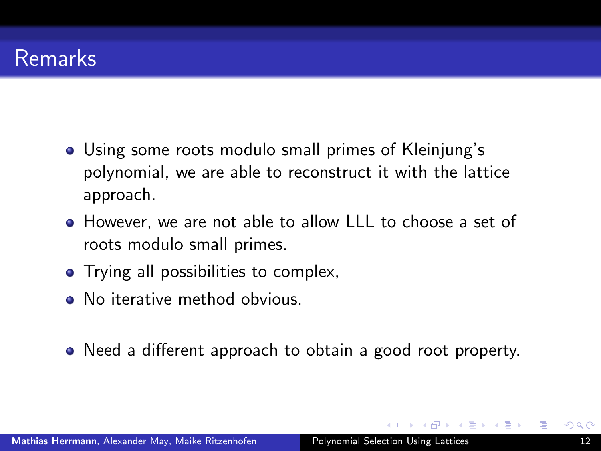- Using some roots modulo small primes of Kleinjung's polynomial, we are able to reconstruct it with the lattice approach.
- However, we are not able to allow LLL to choose a set of roots modulo small primes.
- Trying all possibilities to complex,
- **No iterative method obvious**
- Need a different approach to obtain a good root property.

 $\mathcal{A}$   $\overline{\mathcal{B}}$   $\rightarrow$   $\mathcal{A}$   $\overline{\mathcal{B}}$   $\rightarrow$   $\mathcal{A}$   $\overline{\mathcal{B}}$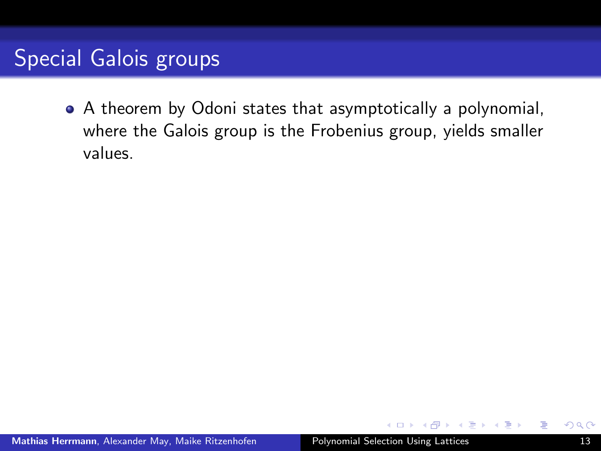# Special Galois groups

A theorem by Odoni states that asymptotically a polynomial, where the Galois group is the Frobenius group, yields smaller values.

A > + 3 + + 3 +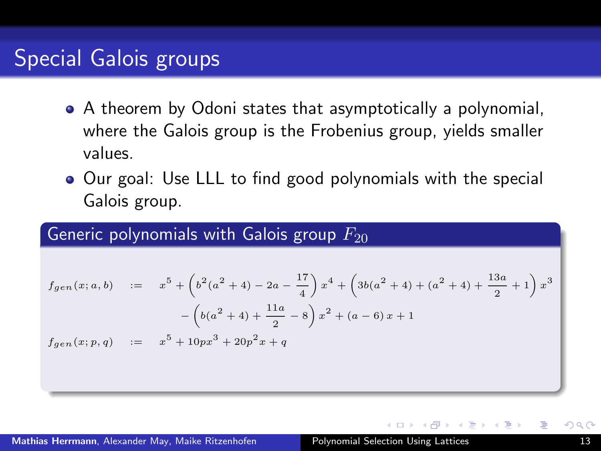## Special Galois groups

- A theorem by Odoni states that asymptotically a polynomial, where the Galois group is the Frobenius group, yields smaller values.
- Our goal: Use LLL to find good polynomials with the special Galois group.

#### Generic polynomials with Galois group  $F_{20}$

<span id="page-30-0"></span>
$$
f_{gen}(x;a,b) := x^5 + \left(b^2(a^2 + 4) - 2a - \frac{17}{4}\right)x^4 + \left(3b(a^2 + 4) + (a^2 + 4) + \frac{13a}{2} + 1\right)x^3
$$

$$
-\left(b(a^2 + 4) + \frac{11a}{2} - 8\right)x^2 + (a - 6)x + 1
$$

$$
f_{gen}(x;p,q) := x^5 + 10px^3 + 20p^2x + q
$$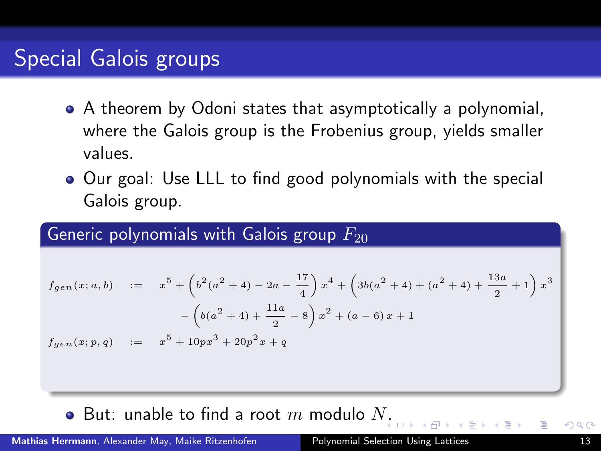## Special Galois groups

- A theorem by Odoni states that asymptotically a polynomial, where the Galois group is the Frobenius group, yields smaller values.
- Our goal: Use LLL to find good polynomials with the special Galois group.

#### Generic polynomials with Galois group  $F_{20}$

$$
f_{gen}(x;a,b) := x^5 + \left(b^2(a^2 + 4) - 2a - \frac{17}{4}\right)x^4 + \left(3b(a^2 + 4) + (a^2 + 4) + \frac{13a}{2} + 1\right)x^3
$$

$$
-\left(b(a^2 + 4) + \frac{11a}{2} - 8\right)x^2 + (a - 6)x + 1
$$

$$
f_{gen}(x;p,q) := x^5 + 10px^3 + 20p^2x + q
$$

 $\bullet$  But: unable to find a root  $m$  modulo  $N$ [.](#page-30-0)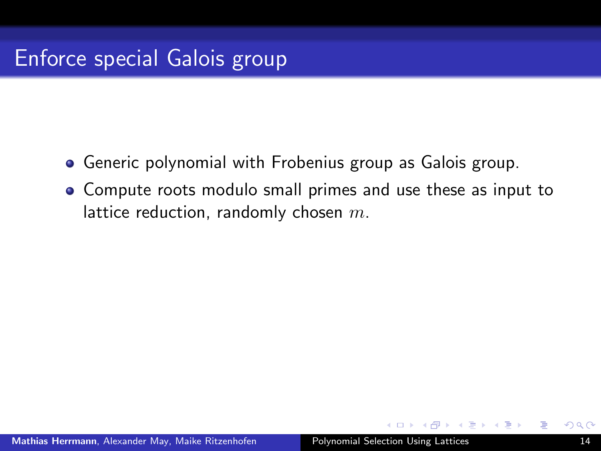- Generic polynomial with Frobenius group as Galois group.
- Compute roots modulo small primes and use these as input to lattice reduction, randomly chosen  $m$ .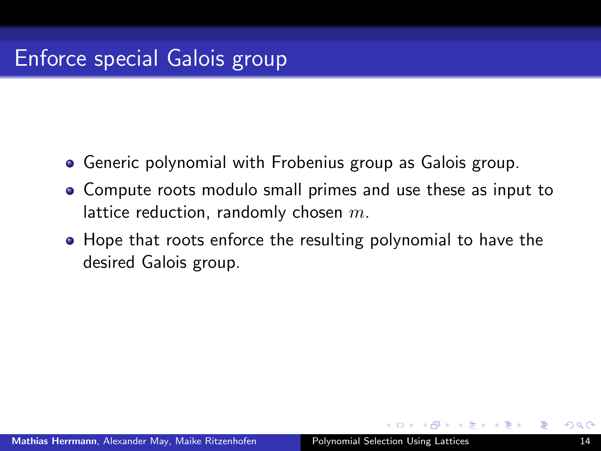- Generic polynomial with Frobenius group as Galois group.
- Compute roots modulo small primes and use these as input to lattice reduction, randomly chosen  $m$ .
- Hope that roots enforce the resulting polynomial to have the desired Galois group.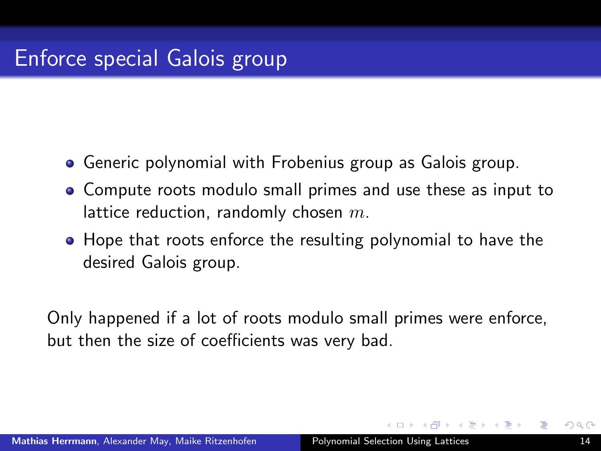- **•** Generic polynomial with Frobenius group as Galois group.
- Compute roots modulo small primes and use these as input to lattice reduction, randomly chosen  $m$ .
- Hope that roots enforce the resulting polynomial to have the desired Galois group.

Only happened if a lot of roots modulo small primes were enforce, but then the size of coefficients was very bad.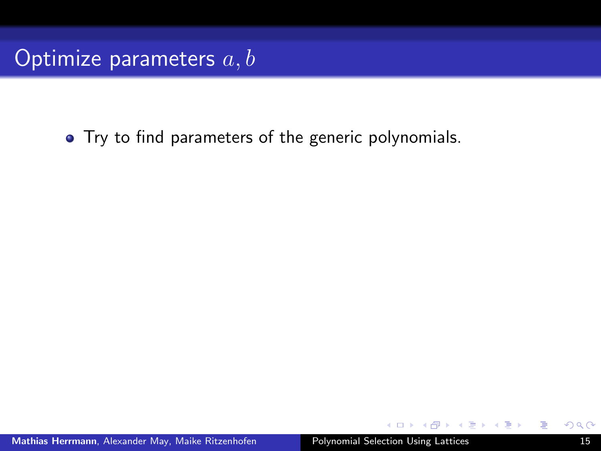• Try to find parameters of the generic polynomials.

 $(0.12 \times 10^{-14})$   $(0.12 \times 10^{-14})$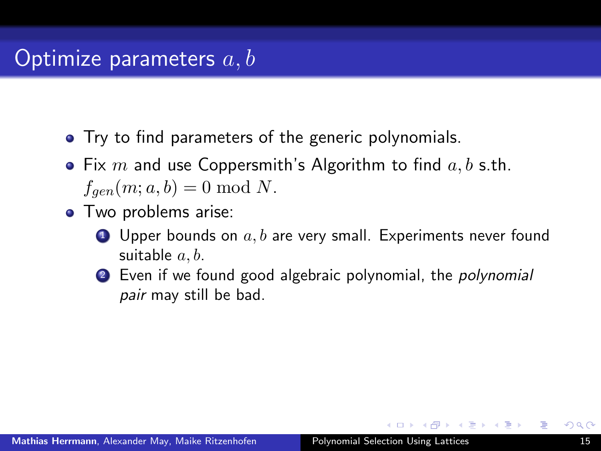- Try to find parameters of the generic polynomials.
- Fix m and use Coppersmith's Algorithm to find  $a, b$  s.th.  $f_{gen}(m; a, b) = 0 \text{ mod } N.$
- Two problems arise:
	- **1** Upper bounds on  $a, b$  are very small. Experiments never found suitable  $a, b$ .
	- **2** Even if we found good algebraic polynomial, the *polynomial* pair may still be bad.

 $A \equiv 1$  and  $B$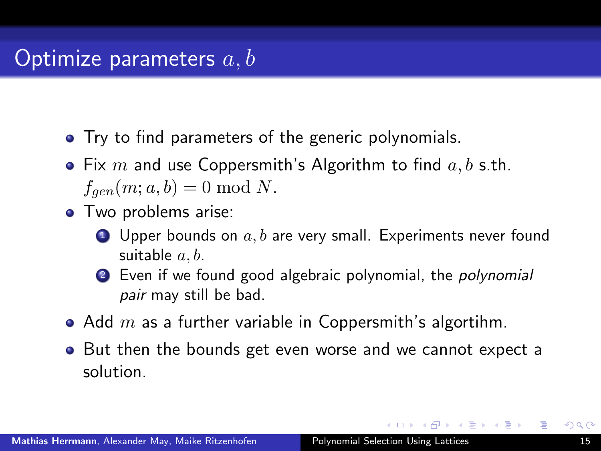- Try to find parameters of the generic polynomials.
- Fix m and use Coppersmith's Algorithm to find  $a, b$  s.th.  $f_{gen}(m; a, b) = 0 \text{ mod } N.$
- Two problems arise:
	- **1** Upper bounds on  $a, b$  are very small. Experiments never found suitable  $a, b$ .
	- **2** Even if we found good algebraic polynomial, the *polynomial* pair may still be bad.
- Add  $m$  as a further variable in Coppersmith's algortihm.
- But then the bounds get even worse and we cannot expect a solution.

 $A \oplus A \oplus A \oplus A \oplus A$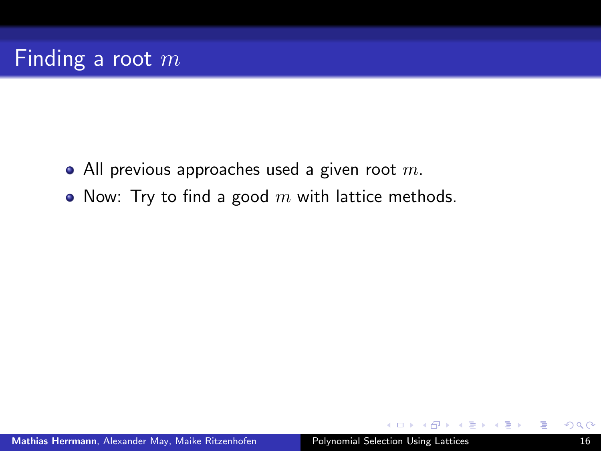# Finding a root  $m$

- All previous approaches used a given root  $m$ .
- Now: Try to find a good  $m$  with lattice methods.

マーター マンドマン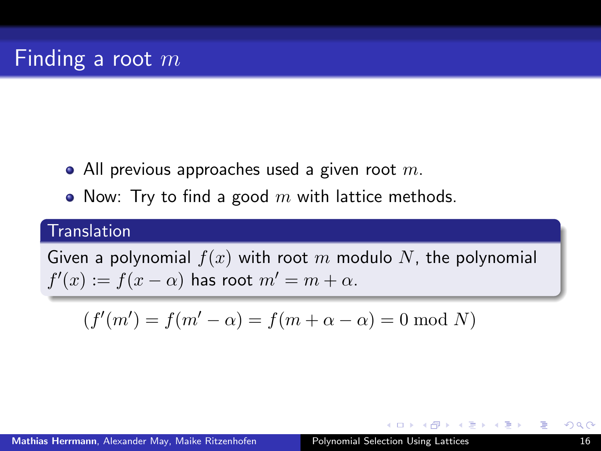# Finding a root  $m$

- All previous approaches used a given root  $m$ .
- Now: Try to find a good  $m$  with lattice methods.

#### **Translation**

Given a polynomial  $f(x)$  with root m modulo N, the polynomial  $f'(x) := f(x - \alpha)$  has root  $m' = m + \alpha$ .

$$
(f'(m') = f(m' - \alpha) = f(m + \alpha - \alpha) = 0 \bmod N)
$$

<span id="page-39-0"></span> $\mathcal{A}$  and  $\mathcal{A}$  is a set  $\mathcal{B}$  in a set  $\mathcal{B}$  is a set of  $\mathcal{B}$  in a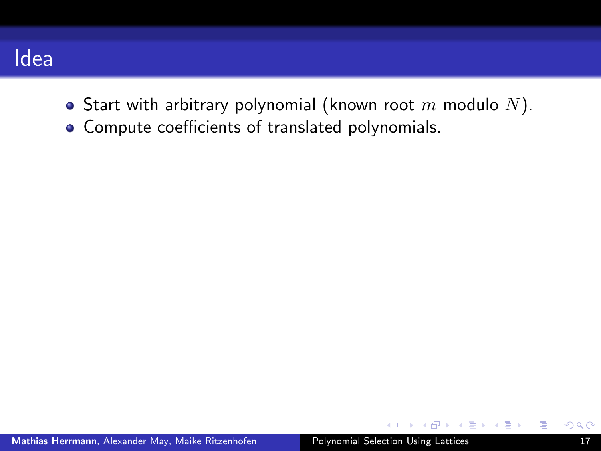## Idea

- Start with arbitrary polynomial (known root  $m$  modulo  $N$ ).
- Compute coefficients of translated polynomials.

 $A \oplus B \rightarrow A \oplus B \rightarrow A \oplus B$ 

<span id="page-40-0"></span>E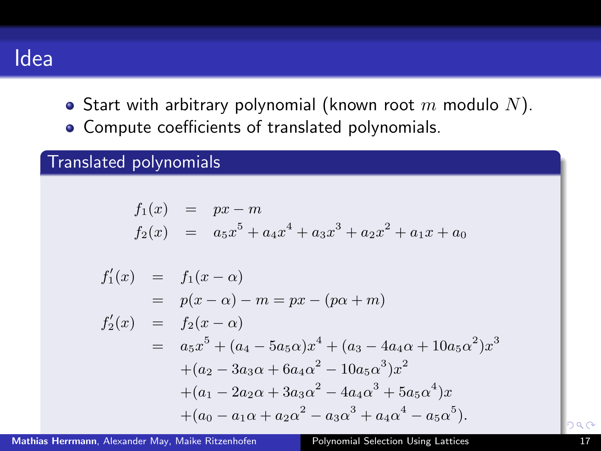## Idea

- Start with arbitrary polynomial (known root  $m$  modulo  $N$ ).
- Compute coefficients of translated polynomials.

#### Translated polynomials

<span id="page-41-0"></span>
$$
f_1(x) = px - m
$$
  
\n
$$
f_2(x) = a_5x^5 + a_4x^4 + a_3x^3 + a_2x^2 + a_1x + a_0
$$

$$
f'_1(x) = f_1(x - \alpha)
$$
  
=  $p(x - \alpha) - m = px - (p\alpha + m)$   

$$
f'_2(x) = f_2(x - \alpha)
$$
  
=  $a_5x^5 + (a_4 - 5a_5\alpha)x^4 + (a_3 - 4a_4\alpha + 10a_5\alpha^2)x^3$   

$$
+ (a_2 - 3a_3\alpha + 6a_4\alpha^2 - 10a_5\alpha^3)x^2
$$
  

$$
+ (a_1 - 2a_2\alpha + 3a_3\alpha^2 - 4a_4\alpha^3 + 5a_5\alpha^4)x
$$
  

$$
+ (a_0 - a_1\alpha + a_2\alpha^2 - a_3\alpha^3 + a_4\alpha^4 - a_5\alpha^5).
$$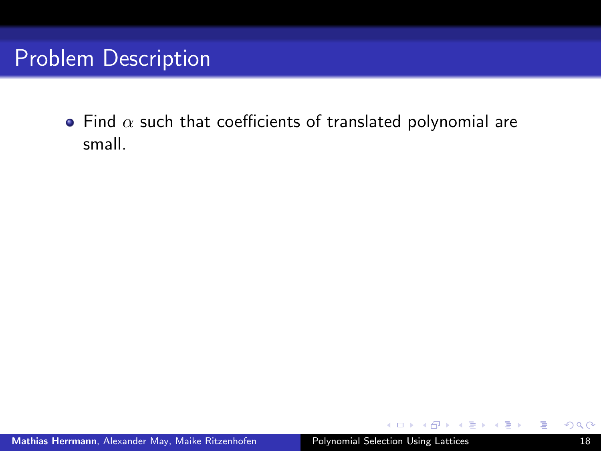# Problem Description

• Find  $\alpha$  such that coefficients of translated polynomial are small.

イロト イ部 トイヨ トイヨト

<span id="page-42-0"></span>活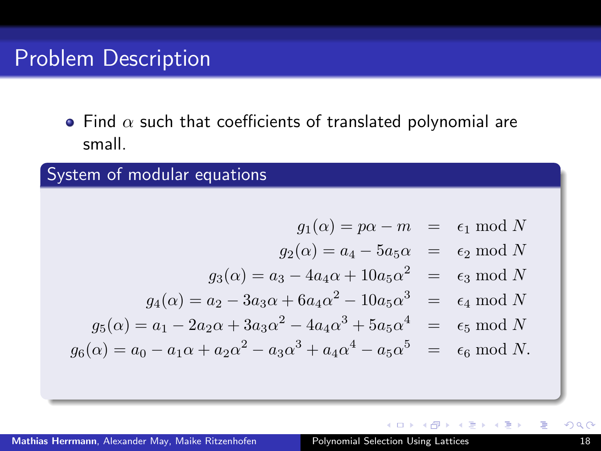## Problem Description

• Find  $\alpha$  such that coefficients of translated polynomial are small.

#### System of modular equations

 $q_1(\alpha) = p\alpha - m = \epsilon_1 \mod N$  $g_2(\alpha) = a_4 - 5a_5\alpha = \epsilon_2 \mod N$  $g_3(\alpha) = a_3 - 4a_4\alpha + 10a_5\alpha^2 = \epsilon_3 \mod N$  $g_4(\alpha) = a_2 - 3a_3\alpha + 6a_4\alpha^2 - 10a_5\alpha^3 = \epsilon_4 \text{ mod } N$  $g_5(\alpha) = a_1 - 2a_2\alpha + 3a_3\alpha^2 - 4a_4\alpha^3 + 5a_5\alpha^4 = \epsilon_5 \mod N$  $g_6(\alpha) = a_0 - a_1 \alpha + a_2 \alpha^2 - a_3 \alpha^3 + a_4 \alpha^4 - a_5 \alpha^5 = \epsilon_6 \text{ mod } N.$ 

イロメ イ母メ イラメ イラメ

E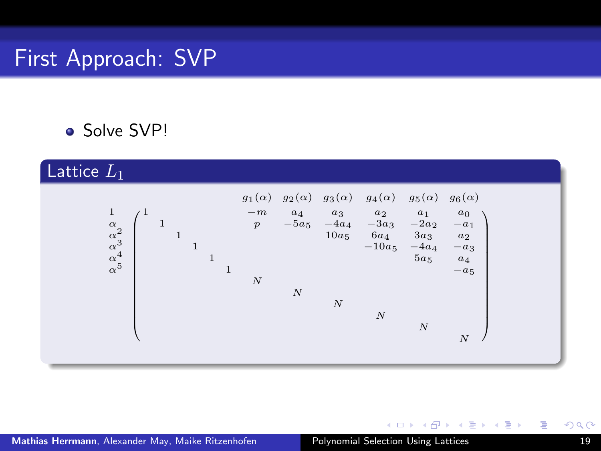# First Approach: SVP

#### **•** Solve SVP!



イロト イ部 トイヨ トイヨト

重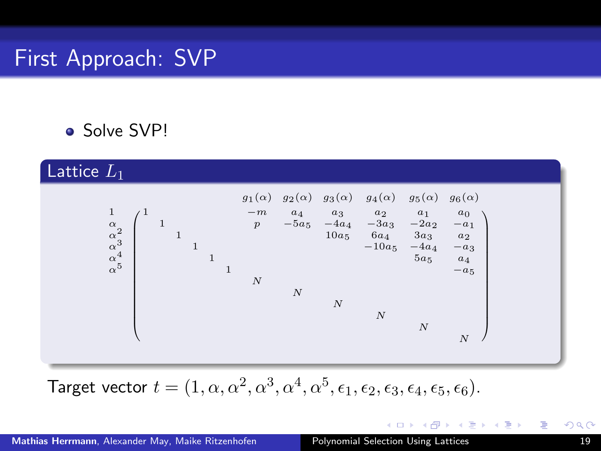# First Approach: SVP

• Solve SVP!



Target vector  $t=(1,\alpha,\alpha^2,\alpha^3,\alpha^4,\alpha^5,\epsilon_1,\epsilon_2,\epsilon_3,\epsilon_4,\epsilon_5,\epsilon_6).$ 

メロメ メ都 メメ きょくきょ

活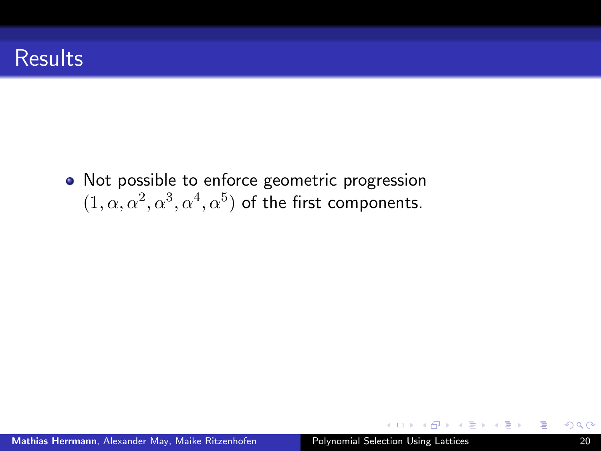## **Results**

• Not possible to enforce geometric progression  $(1, \alpha, \alpha^2, \alpha^3, \alpha^4, \alpha^5)$  of the first components.

 $A \oplus A \oplus A \oplus A \oplus A$ 

∍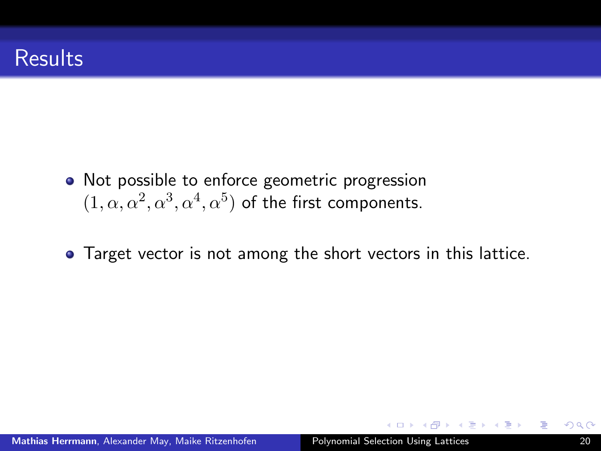## **Results**

- Not possible to enforce geometric progression  $(1, \alpha, \alpha^2, \alpha^3, \alpha^4, \alpha^5)$  of the first components.
- Target vector is not among the short vectors in this lattice.

 $\mathcal{A} \cong \mathcal{A} \times \mathcal{B}$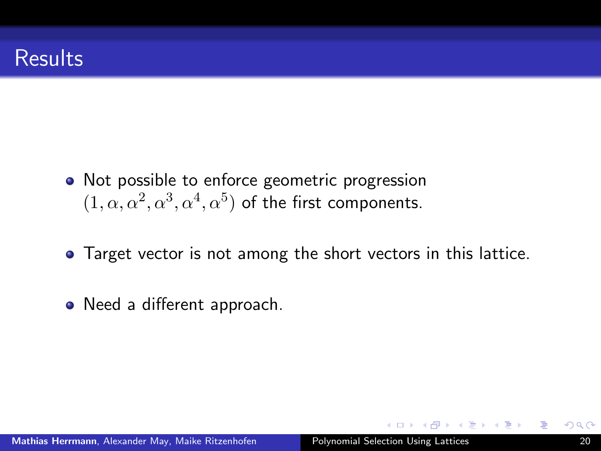## **Results**

- Not possible to enforce geometric progression  $(1, \alpha, \alpha^2, \alpha^3, \alpha^4, \alpha^5)$  of the first components.
- Target vector is not among the short vectors in this lattice.
- Need a different approach.

 $\mathcal{A} \oplus \mathcal{A} \rightarrow \mathcal{A} \oplus$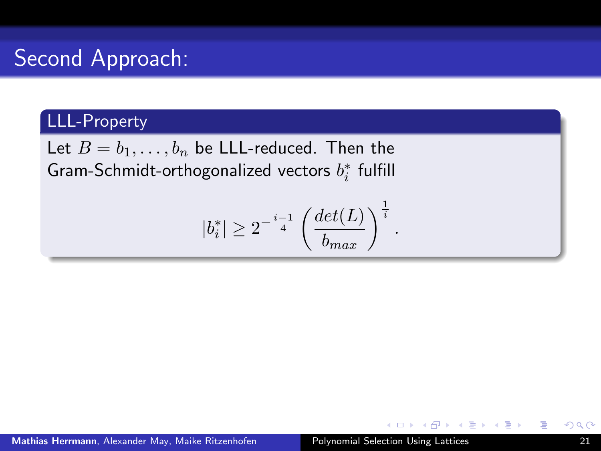# Second Approach:

#### LLL-Property

Let  $B = b_1, \ldots, b_n$  be LLL-reduced. Then the Gram-Schmidt-orthogonalized vectors  $b_i^*$  fulfill

$$
|b_i^*| \geq 2^{-\frac{i-1}{4}} \left(\frac{det(L)}{b_{max}}\right)^{\frac{1}{i}}.
$$

マタン マミメ マミメ

E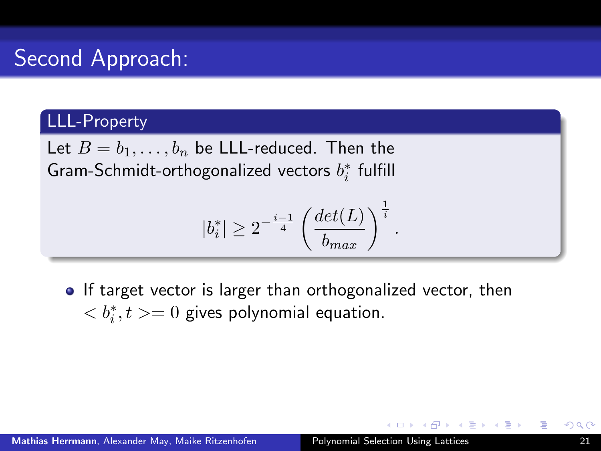# Second Approach:

#### LLL-Property

Let  $B = b_1, \ldots, b_n$  be LLL-reduced. Then the Gram-Schmidt-orthogonalized vectors  $b_i^*$  fulfill

$$
|b_i^*| \geq 2^{-\frac{i-1}{4}} \left(\frac{det(L)}{b_{max}}\right)^{\frac{1}{i}}.
$$

• If target vector is larger than orthogonalized vector, then  $< b_i^*, t>=0$  gives polynomial equation.

 $A \oplus A \oplus A \oplus A \oplus A$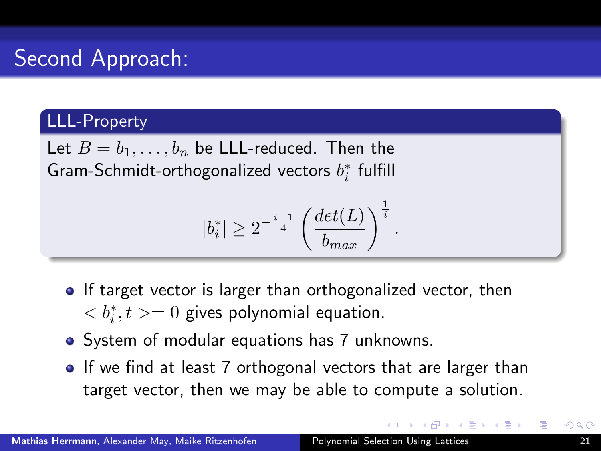# Second Approach:

#### LLL-Property

Let  $B = b_1, \ldots, b_n$  be LLL-reduced. Then the Gram-Schmidt-orthogonalized vectors  $b_i^*$  fulfill

$$
|b_i^*| \geq 2^{-\frac{i-1}{4}} \left(\frac{det(L)}{b_{max}}\right)^{\frac{1}{i}}.
$$

- If target vector is larger than orthogonalized vector, then  $< b_i^*, t>=0$  gives polynomial equation.
- System of modular equations has 7 unknowns.
- If we find at least 7 orthogonal vectors that are larger than target vector, then we may be able to compute a solution.

 $(0.125 \times 10^{14} \text{m}) \times 10^{14} \text{m} \times 10^{14} \text{m}$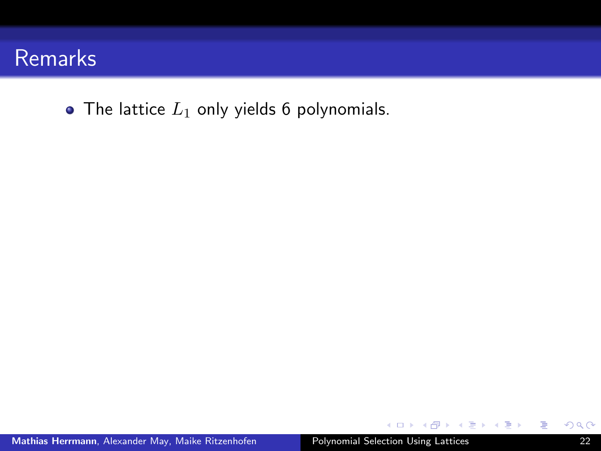• The lattice  $L_1$  only yields 6 polynomials.

**K ロ ⊁ K 伊 ⊁ K ミ ⊁ K ミ ⊁** 

活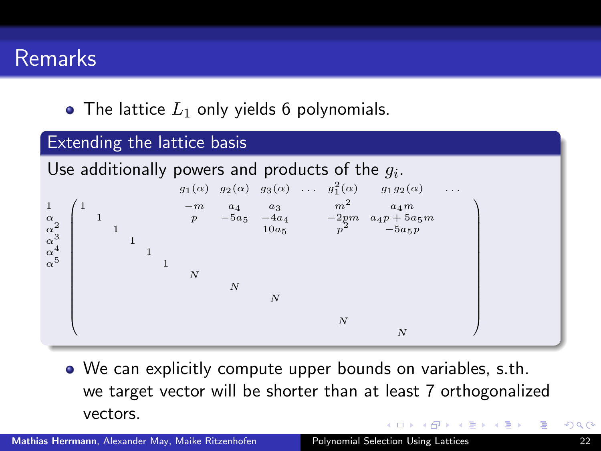#### • The lattice  $L_1$  only yields 6 polynomials.



<span id="page-53-0"></span>We can explicitly compute upper bounds on variables, s.th. we target vector will be shorter than at least 7 orthogonalized vectors.  $(0.12 \times 10^{-14})$   $(0.12 \times 10^{-14})$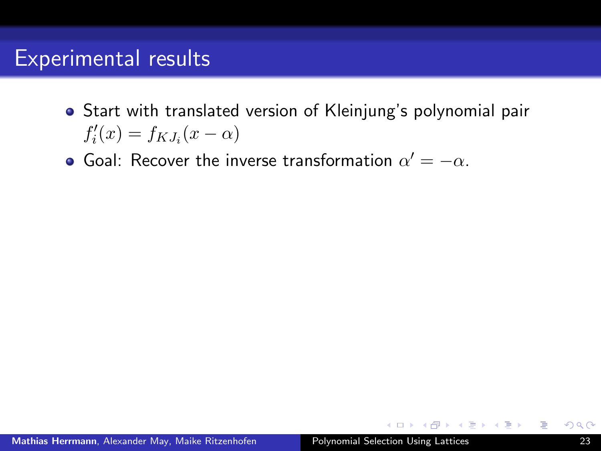- Start with translated version of Kleinjung's polynomial pair  $f_i'(x) = f_{KJ_i}(x - \alpha)$
- Goal: Recover the inverse transformation  $\alpha' = -\alpha$ .

<span id="page-54-0"></span> $(0.12 \times 10^{-14})$   $(0.12 \times 10^{-14})$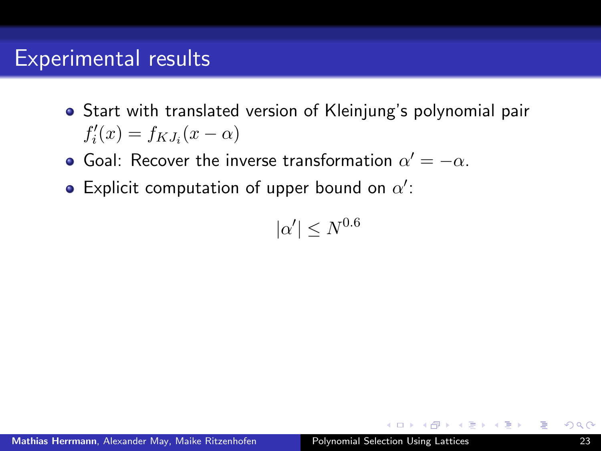- Start with translated version of Kleinjung's polynomial pair  $f_i'(x) = f_{KJ_i}(x - \alpha)$
- Goal: Recover the inverse transformation  $\alpha' = -\alpha$ .
- Explicit computation of upper bound on  $\alpha'$ :

$$
|\alpha'|\leq N^{0.6}
$$

 $A \oplus B \rightarrow A \oplus B \rightarrow A \oplus B$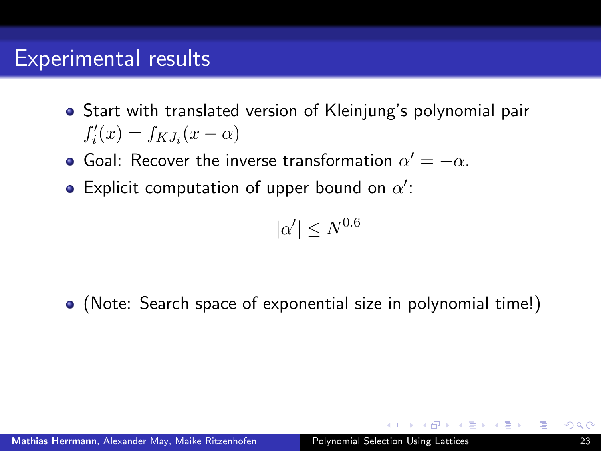- Start with translated version of Kleinjung's polynomial pair  $f_i'(x) = f_{KJ_i}(x - \alpha)$
- Goal: Recover the inverse transformation  $\alpha' = -\alpha$ .
- Explicit computation of upper bound on  $\alpha'$ :

$$
|\alpha'|\leq N^{0.6}
$$

(Note: Search space of exponential size in polynomial time!)

 $A \oplus B \rightarrow A \oplus B \rightarrow A \oplus B$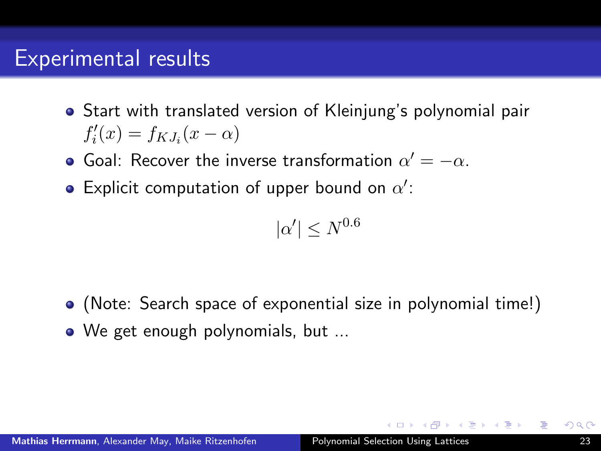- Start with translated version of Kleinjung's polynomial pair  $f_i'(x) = f_{KJ_i}(x - \alpha)$
- Goal: Recover the inverse transformation  $\alpha' = -\alpha$ .
- Explicit computation of upper bound on  $\alpha'$ :

$$
|\alpha'|\leq N^{0.6}
$$

- (Note: Search space of exponential size in polynomial time!)
- We get enough polynomials, but ...

<span id="page-57-0"></span> $A \oplus B \rightarrow A \oplus B \rightarrow A \oplus B$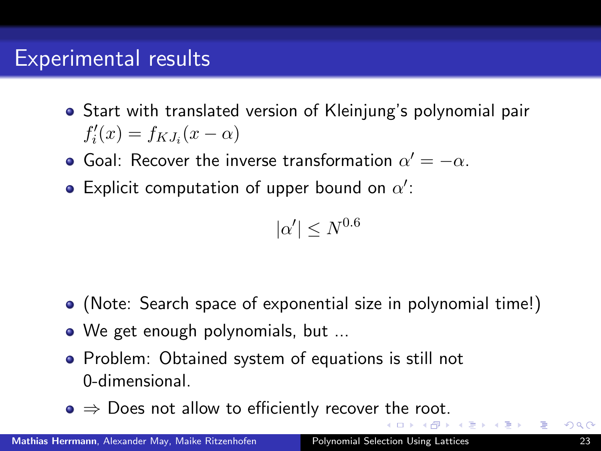- Start with translated version of Kleinjung's polynomial pair  $f_i'(x) = f_{KJ_i}(x - \alpha)$
- Goal: Recover the inverse transformation  $\alpha' = -\alpha$ .
- Explicit computation of upper bound on  $\alpha'$ :

$$
|\alpha'|\leq N^{0.6}
$$

- (Note: Search space of exponential size in polynomial time!)
- We get enough polynomials, but ...
- Problem: Obtained system of equations is still not 0-dimensional.
- ⇒ Does not allow to efficiently recover [th](#page-57-0)[e r](#page-59-0)[o](#page-53-0)[o](#page-54-0)[t](#page-58-0)[.](#page-59-0)

<span id="page-58-0"></span> $\mathcal{A}$  and  $\mathcal{A}$  is a set of  $\mathbb{R}$  is a set of  $\mathbb{R}$  is a set of  $\mathbb{R}$  is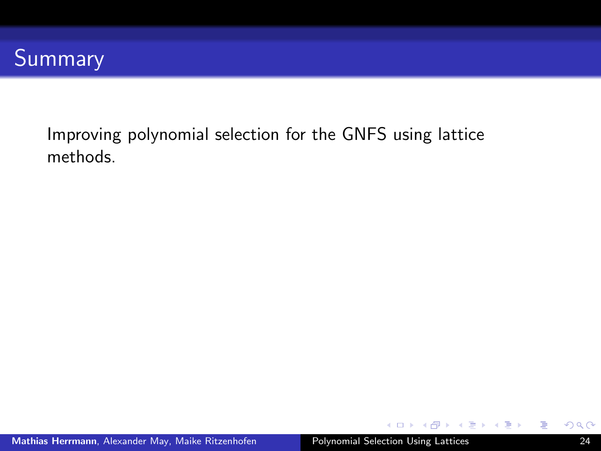

 $(1 - 1)$   $(1 - 1)$   $(1 - 1)$   $(1 - 1)$   $(1 - 1)$   $(1 - 1)$   $(1 - 1)$   $(1 - 1)$ 

<span id="page-59-0"></span>活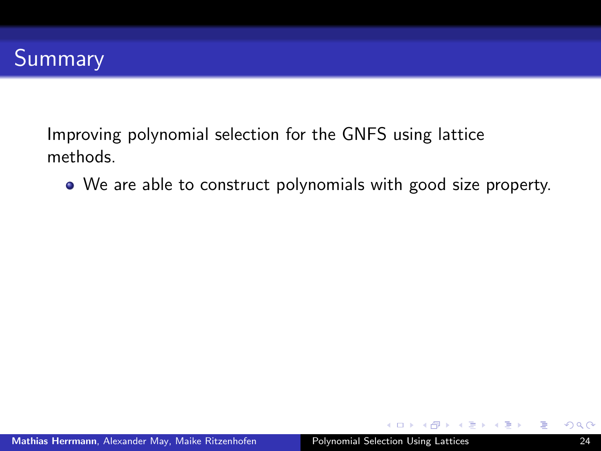

We are able to construct polynomials with good size property.

 $A \oplus A \oplus A \oplus A \oplus A \oplus A$ 

∍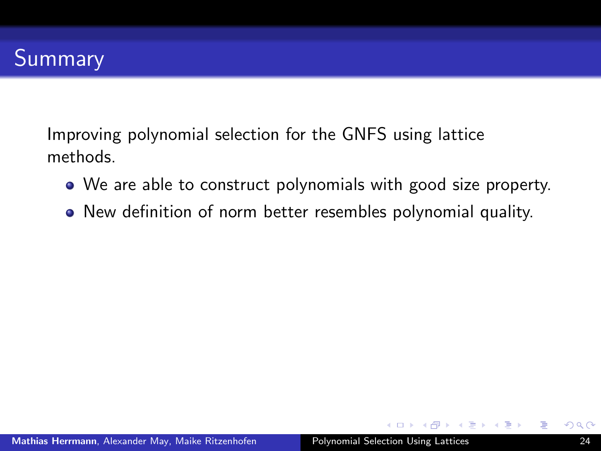- We are able to construct polynomials with good size property.
- New definition of norm better resembles polynomial quality.

**A BAKABA**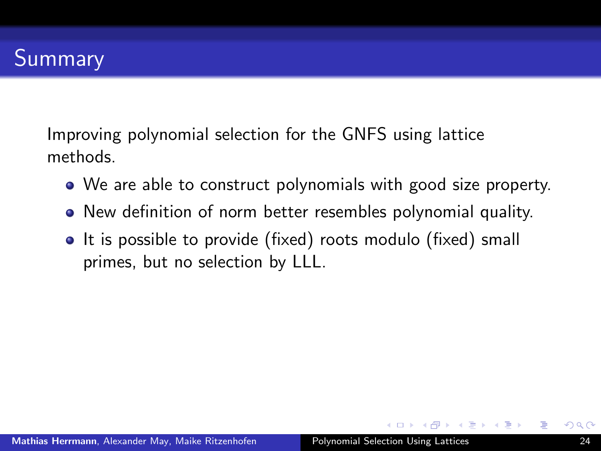- We are able to construct polynomials with good size property.
- New definition of norm better resembles polynomial quality.
- It is possible to provide (fixed) roots modulo (fixed) small primes, but no selection by LLL.

マタン マミメ マミメ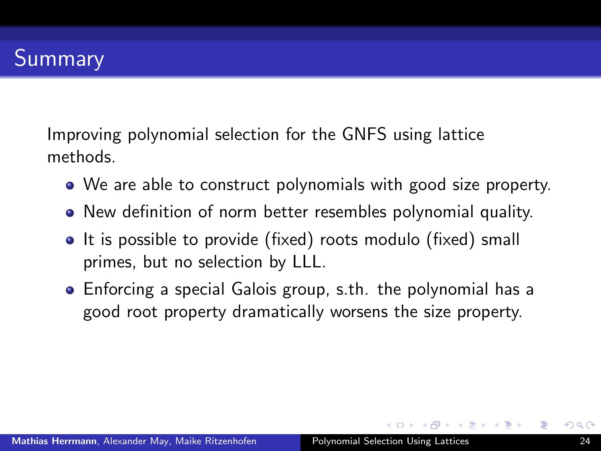- We are able to construct polynomials with good size property.
- New definition of norm better resembles polynomial quality.
- It is possible to provide (fixed) roots modulo (fixed) small primes, but no selection by LLL.
- Enforcing a special Galois group, s.th. the polynomial has a good root property dramatically worsens the size property.

マーター マンドマン